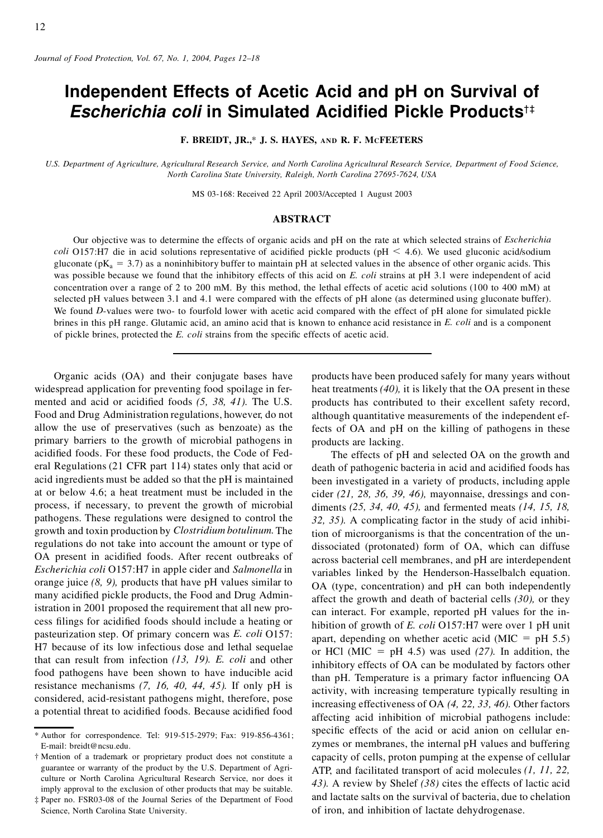# **Independent Effects of Acetic Acid and pH on Survival of** *Escherichia coli* **in Simulated Acidi ed Pickle Products**†‡

**F. BREIDT, JR.,**\* **J. S. HAYES, AND R. F. MCFEETERS**

U.S. Department of Agriculture, Agricultural Research Service, and North Carolina Agricultural Research Service, Department of Food Science, *North Carolina State University, Raleigh, North Carolina 27695-7624, USA*

MS 03-168: Received 22 April 2003/Accepted 1 August 2003

# **ABSTRACT**

Our objective was to determine the effects of organic acids and pH on the rate at which selected strains of *Escherichia coli* O157:H7 die in acid solutions representative of acidified pickle products ( $pH < 4.6$ ). We used gluconic acid/sodium gluconate ( $pK_a = 3.7$ ) as a noninhibitory buffer to maintain pH at selected values in the absence of other organic acids. This was possible because we found that the inhibitory effects of this acid on *E. coli* strains at pH 3.1 were independent of acid concentration over a range of 2 to 200 mM. By this method, the lethal effects of acetic acid solutions (100 to 400 mM) at selected pH values between 3.1 and 4.1 were compared with the effects of pH alone (as determined using gluconate buffer). We found *D*-values were two- to fourfold lower with acetic acid compared with the effect of pH alone for simulated pickle brines in this pH range. Glutamic acid, an amino acid that is known to enhance acid resistance in *E. coli* and is a component of pickle brines, protected the *E. coli* strains from the specific effects of acetic acid.

Organic acids (OA) and their conjugate bases have widespread application for preventing food spoilage in fermented and acid or acidified foods  $(5, 38, 41)$ . The U.S. Food and Drug Administration regulations, however, do not allow the use of preservatives (such as benzoate) as the primary barriers to the growth of microbial pathogens in acidified foods. For these food products, the Code of Federal Regulations (21 CFR part 114) states only that acid or acid ingredients must be added so that the pH is maintained at or below 4.6; a heat treatment must be included in the process, if necessary, to prevent the growth of microbial pathogens. These regulations were designed to control the growth and toxin production by *Clostridium botulinum.*The regulations do not take into account the amount or type of OA present in acidified foods. After recent outbreaks of *Escherichia coli* O157:H7 in apple cider and *Salmonella* in orange juice *(8, 9),* products that have pH values similar to many acidified pickle products, the Food and Drug Administration in 2001 proposed the requirement that all new process filings for acidified foods should include a heating or pasteurization step. Of primary concern was *E. coli* O157: H7 because of its low infectious dose and lethal sequelae that can result from infection *(13, 19). E. coli* and other food pathogens have been shown to have inducible acid resistance mechanisms *(7, 16, 40, 44, 45).* If only pH is considered, acid-resistant pathogens might, therefore, pose a potential threat to acidified foods. Because acidified food

products have been produced safely for many years without heat treatments *(40),* it is likely that the OA present in these products has contributed to their excellent safety record, although quantitative measurements of the independent effects of OA and pH on the killing of pathogens in these products are lacking.

The effects of pH and selected OA on the growth and death of pathogenic bacteria in acid and acidified foods has been investigated in a variety of products, including apple cider *(21, 28, 36, 39, 46),* mayonnaise, dressings and condiments *(25, 34, 40, 45),* and fermented meats *(14, 15, 18, 32, 35).* A complicating factor in the study of acid inhibition of microorganisms is that the concentration of the undissociated (protonated) form of OA, which can diffuse across bacterial cell membranes, and pH are interdependent variables linked by the Henderson-Hasselbalch equation. OA (type, concentration) and pH can both independently affect the growth and death of bacterial cells *(30),* or they can interact. For example, reported pH values for the inhibition of growth of *E. coli* O157:H7 were over 1 pH unit apart, depending on whether acetic acid (MIC =  $pH$  5.5) or HCl (MIC =  $pH$  4.5) was used (27). In addition, the inhibitory effects of OA can be modulated by factors other than pH. Temperature is a primary factor influencing OA activity, with increasing temperature typically resulting in increasing effectiveness of OA *(4, 22, 33, 46).* Other factors affecting acid inhibition of microbial pathogens include: specific effects of the acid or acid anion on cellular enzymes or membranes, the internal pH values and buffering capacity of cells, proton pumping at the expense of cellular ATP, and facilitated transport of acid molecules *(1, 11, 22, 43).* A review by Shelef *(38)* cites the effects of lactic acid and lactate salts on the survival of bacteria, due to chelation of iron, and inhibition of lactate dehydrogenase.

<sup>\*</sup> Author for correspondence. Tel: 919-515-2979; Fax: 919-856-4361; E-mail: breidt@ncsu.edu.

<sup>†</sup> Mention of a trademark or proprietary product does not constitute a guarantee or warranty of the product by the U.S. Department of Agriculture or North Carolina Agricultural Research Service, nor does it imply approval to the exclusion of other products that may be suitable.

<sup>‡</sup> Paper no. FSR03-08 of the Journal Series of the Department of Food Science, North Carolina State University.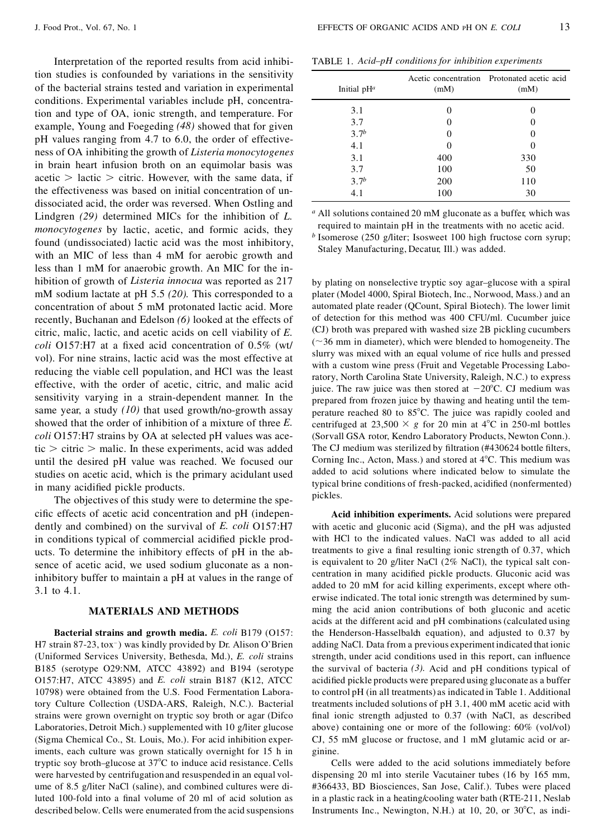Interpretation of the reported results from acid inhibition studies is confounded by variations in the sensitivity of the bacterial strains tested and variation in experimental conditions. Experimental variables include pH, concentration and type of OA, ionic strength, and temperature. For example, Young and Foegeding *(48)* showed that for given pH values ranging from 4.7 to 6.0, the order of effectiveness of OA inhibiting the growth of *Listeria monocytogenes* in brain heart infusion broth on an equimolar basis was acetic  $>$  lactic  $>$  citric. However, with the same data, if the effectiveness was based on initial concentration of undissociated acid, the order was reversed. When Ostling and Lindgren *(29)* determined MICs for the inhibition of *L. monocytogenes* by lactic, acetic, and formic acids, they found (undissociated) lactic acid was the most inhibitory, with an MIC of less than 4 mM for aerobic growth and less than 1 mM for anaerobic growth. An MIC for the inhibition of growth of *Listeria innocua* was reported as 217 mM sodium lactate at pH 5.5 *(20).* This corresponded to a concentration of about 5 mM protonated lactic acid. More recently, Buchanan and Edelson *(6)* looked at the effects of citric, malic, lactic, and acetic acids on cell viability of *E. coli* O157:H7 at a fixed acid concentration of 0.5% (wt/ vol). For nine strains, lactic acid was the most effective at reducing the viable cell population, and HCl was the least effective, with the order of acetic, citric, and malic acid sensitivity varying in a strain-dependent manner. In the same year, a study *(10)* that used growth/no-growth assay showed that the order of inhibition of a mixture of three *E. coli* O157:H7 strains by OA at selected pH values was acetic  $\ge$  citric  $\ge$  malic. In these experiments, acid was added until the desired pH value was reached. We focused our studies on acetic acid, which is the primary acidulant used in many acidified pickle products.

The objectives of this study were to determine the specific effects of acetic acid concentration and pH (independently and combined) on the survival of *E. coli* O157:H7 in conditions typical of commercial acidified pickle products. To determine the inhibitory effects of pH in the absence of acetic acid, we used sodium gluconate as a noninhibitory buffer to maintain a pH at values in the range of 3.1 to 4.1.

#### **MATERIALS AND METHODS**

**Bacterial strains and growth media.** *E. coli* B179 (O157: H7 strain 87-23, tox<sup>-</sup>) was kindly provided by Dr. Alison O'Brien (Uniformed Services University, Bethesda, Md.), *E. coli* strains B185 (serotype O29:NM, ATCC 43892) and B194 (serotype O157:H7, ATCC 43895) and *E. coli* strain B187 (K12, ATCC 10798) were obtained from the U.S. Food Fermentation Laboratory Culture Collection (USDA-ARS, Raleigh, N.C.). Bacterial strains were grown overnight on tryptic soy broth or agar (Difco Laboratories, Detroit Mich.) supplemented with 10 g/liter glucose (Sigma Chemical Co., St. Louis, Mo.). For acid inhibition experiments, each culture was grown statically overnight for 15 h in tryptic soy broth–glucose at 37°C to induce acid resistance. Cells were harvested by centrifugation and resuspended in an equal vol ume of 8.5 g/liter NaCl (saline), and combined cultures were diluted 100-fold into a final volume of 20 ml of acid solution as described below. Cells were enumerated from the acid suspensions

| Initial $pH^a$   | (mM)     | Acetic concentration Protonated acetic acid<br>(mM) |  |
|------------------|----------|-----------------------------------------------------|--|
| 3.1              | $\theta$ | 0                                                   |  |
| 3.7              | $\theta$ | 0                                                   |  |
| 3.7 <sup>b</sup> | $\theta$ |                                                     |  |
| 4.1              | 0        | 0                                                   |  |
| 3.1              | 400      | 330                                                 |  |
| 3.7              | 100      | 50                                                  |  |
| 3.7 <sup>b</sup> | 200      | 110                                                 |  |
| 4.1              | 100      | 30                                                  |  |

*<sup>a</sup>* All solutions contained 20 mM gluconate as a buffer, which was required to maintain pH in the treatments with no acetic acid.

*b* Isomerose (250 g/liter; Isosweet 100 high fructose corn syrup; Staley Manufacturing, Decatur, Ill.) was added.

by plating on nonselective tryptic soy agar–glucose with a spiral plater (Model 4000, Spiral Biotech, Inc., Norwood, Mass.) and an automated plate reader (QCount, Spiral Biotech). The lower limit of detection for this method was 400 CFU/ml. Cucumber juice (CJ) broth was prepared with washed size 2B pickling cucumbers  $(\sim36$  mm in diameter), which were blended to homogeneity. The slurry was mixed with an equal volume of rice hulls and pressed with a custom wine press (Fruit and Vegetable Processing Laboratory, North Carolina State University, Raleigh, N.C.) to express juice. The raw juice was then stored at  $-20^{\circ}$ C. CJ medium was prepared from frozen juice by thawing and heating until the temperature reached 80 to 85°C. The juice was rapidly cooled and centrifuged at 23,500  $\times$  g for 20 min at 4<sup>o</sup>C in 250-ml bottles (Sorvall GSA rotor, Kendro Laboratory Products, Newton Conn.). The CJ medium was sterilized by filtration (#430624 bottle filters, Corning Inc., Acton, Mass.) and stored at  $4^{\circ}$ C. This medium was added to acid solutions where indicated below to simulate the typical brine conditions of fresh-packed, acidified (nonfermented) pickles.

**Acid inhibition experiments.** Acid solutions were prepared with acetic and gluconic acid (Sigma), and the pH was adjusted with HCl to the indicated values. NaCl was added to all acid treatments to give a final resulting ionic strength of 0.37, which is equivalent to 20 g/liter NaCl (2% NaCl), the typical salt con centration in many acidified pickle products. Gluconic acid was added to 20 mM for acid killing experiments, except where otherwise indicated. The total ionic strength was determined by sum ming the acid anion contributions of both gluconic and acetic acids at the different acid and pH combinations (calculated using the Henderson-Hasselbald equation), and adjusted to 0.37 by adding NaCl. Data from a previous experiment indicated that ionic strength, under acid conditions used in this report, can influence the survival of bacteria *(3).* Acid and pH conditions typical of acidified pickle products were prepared using gluconate as a buffer to control pH (in all treatments) as indicated in Table 1. Additional treatments included solutions of pH 3.1, 400 mM acetic acid with final ionic strength adjusted to  $0.37$  (with NaCl, as described above) containing one or more of the following: 60% (vol/vol) CJ, 55 mM glucose or fructose, and 1 mM glutamic acid or ar ginine.

Cells were added to the acid solutions immediately before dispensing 20 ml into sterile Vacutainer tubes (16 by 165 mm, #366433, BD Biosciences, San Jose, Calif.). Tubes were placed in a plastic rack in a heating/cooling water bath (RTE-211, Neslab Instruments Inc., Newington, N.H.) at 10, 20, or  $30^{\circ}$ C, as indi-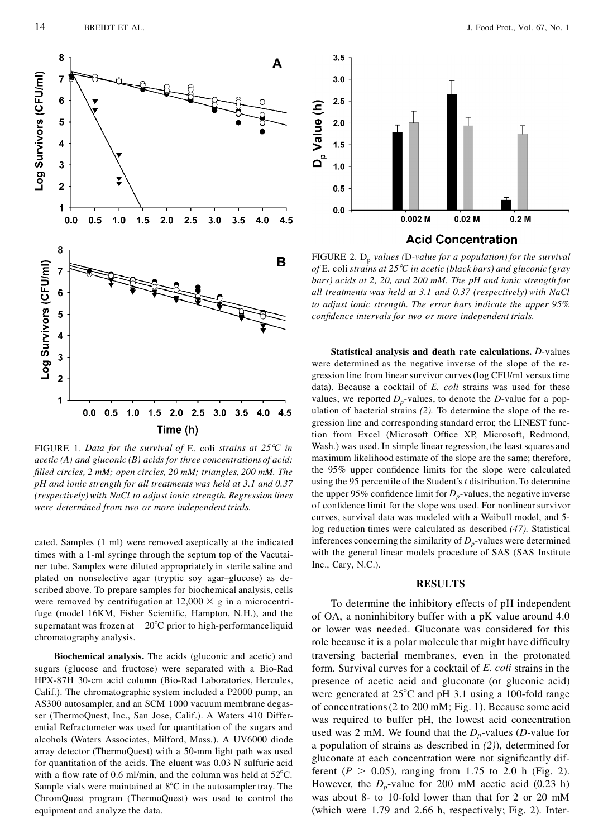

FIGURE 1. *Data for the survival of* E. coli *strains at 258C in acetic (A) and gluconic (B) acids for three concentrations of acid: lled circles, 2 mM; open circles, 20 mM; triangles, 200 mM. The pH and ionic strength for all treatments was held at 3.1 and 0.37 (respectively)with NaCl to adjust ionic strength. Regression lines were determined from two or more independent trials.*

cated. Samples (1 ml) were removed aseptically at the indicated times with a 1-ml syringe through the septum top of the Vacutai ner tube. Samples were diluted appropriately in sterile saline and plated on nonselective agar (tryptic soy agar–glucose) as described above. To prepare samples for biochemical analysis, cells were removed by centrifugation at  $12,000 \times g$  in a microcentrifuge (model 16KM, Fisher Scientific, Hampton, N.H.), and the supernatant was frozen at  $-20^{\circ}$ C prior to high-performanceliquid chromatography analysis.

**Biochemical analysis.** The acids (gluconic and acetic) and sugars (glucose and fructose) were separated with a Bio-Rad HPX-87H 30-cm acid column (Bio-Rad Laboratories, Hercules, Calif.). The chromatographic system included a P2000 pump, an AS300 autosampler, and an SCM 1000 vacuum membrane degasser (ThermoQuest, Inc., San Jose, Calif.). A Waters 410 Differential Refractometer was used for quantitation of the sugars and alcohols (Waters Associates, Milford, Mass.). A UV6000 diode array detector (ThermoQuest) with a 50-mm light path was used for quantitation of the acids. The eluent was 0.03 N sulfuric acid with a flow rate of 0.6 ml/min, and the column was held at  $52^{\circ}$ C. Sample vials were maintained at  $8^{\circ}$ C in the autosampler tray. The ChromQuest program (ThermoQuest) was used to control the equipment and analyze the data.



FIGURE 2.D<sup>p</sup> *values (*D*-value for a population) for the survival of* E. coli *strains at 258C in acetic (black bars) and gluconic (gray bars) acids at 2, 20, and 200 mM. The pH and ionic strength for all treatments was held at 3.1 and 0.37 (respectively) with NaCl to adjust ionic strength. The error bars indicate the upper 95% condence intervals for two or more independent trials.*

**Statistical analysis and death rate calculations.** *D*-values were determined as the negative inverse of the slope of the re gression line from linear survivor curves (log CFU/ml versus time data). Because a cocktail of *E. coli* strains was used for these values, we reported  $D_p$ -values, to denote the *D*-value for a population of bacterial strains *(2).* To determine the slope of the re gression line and corresponding standard error, the LINEST function from Excel (Microsoft Office XP, Microsoft, Redmond, Wash.) was used. In simple linear regression, the least squares and maximum likelihood estimate of the slope are the same; therefore, the 95% upper confidence limits for the slope were calculated using the 95 percentile of the Student's *t* distribution.To determine the upper 95% confidence limit for  $D_p$ -values, the negative inverse of confidence limit for the slope was used. For nonlinear survivor curves, survival data was modeled with a Weibull model, and 5 log reduction times were calculated as described *(47).* Statistical inferences concerning the similarity of  $D_p$ -values were determined with the general linear models procedure of SAS (SAS Institute Inc., Cary, N.C.).

#### **RESULTS**

To determine the inhibitory effects of pH independent of OA, a noninhibitory buffer with a pK value around 4.0 or lower was needed. Gluconate was considered for this role because it is a polar molecule that might have difficulty traversing bacterial membranes, even in the protonated form. Survival curves for a cocktail of *E. coli* strains in the presence of acetic acid and gluconate (or gluconic acid) were generated at  $25^{\circ}$ C and pH 3.1 using a 100-fold range of concentrations(2 to 200 mM; Fig. 1). Because some acid was required to buffer pH, the lowest acid concentration used was 2 mM. We found that the  $D_p$ -values (*D*-value for a population of strains as described in *(2)*), determined for gluconate at each concentration were not significantly different ( $P > 0.05$ ), ranging from 1.75 to 2.0 h (Fig. 2). However, the  $D_p$ -value for 200 mM acetic acid (0.23 h) was about 8- to 10-fold lower than that for 2 or 20 mM (which were 1.79 and 2.66 h, respectively; Fig. 2). Inter-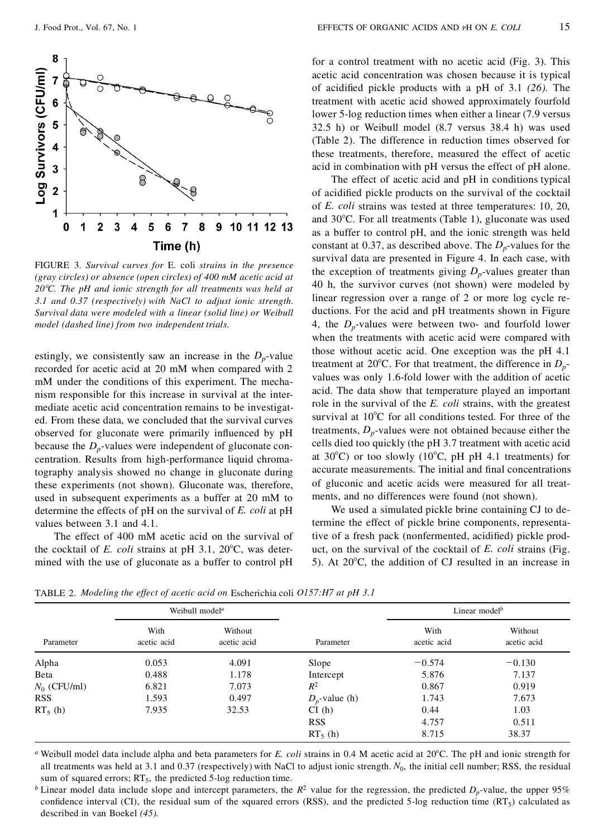

FIGURE 3. *Survival curves for* E. coli *strains in the presence (gray circles) or absence (open circles) of 400 mM acetic acid at 208C. The pH and ionic strength for all treatments was held at 3.1 and 0.37 (respectively) with NaCl to adjust ionic strength. Survival data were modeled with a linear (solid line) or Weibull model (dashed line) from two independent trials.*

estingly, we consistently saw an increase in the  $D_p$ -value recorded for acetic acid at 20 mM when compared with 2 mM under the conditions of this experiment. The mechanism responsible for this increase in survival at the intermediate acetic acid concentration remains to be investigated. From these data, we concluded that the survival curves observed for gluconate were primarily influenced by pH because the  $D_p$ -values were independent of gluconate concentration. Results from high-performance liquid chromatography analysis showed no change in gluconate during these experiments (not shown). Gluconate was, therefore, used in subsequent experiments as a buffer at 20 mM to determine the effects of pH on the survival of *E. coli* at pH values between 3.1 and 4.1.

The effect of 400 mM acetic acid on the survival of the cocktail of  $E$ . *coli* strains at pH 3.1, 20 $^{\circ}$ C, was determined with the use of gluconate as a buffer to control pH for a control treatment with no acetic acid (Fig. 3). This acetic acid concentration was chosen because it is typical of acidified pickle products with a pH of 3.1 (26). The treatment with acetic acid showed approximately fourfold lower 5-log reduction times when either a linear (7.9 versus 32.5 h) or Weibull model (8.7 versus 38.4 h) was used (Table 2). The difference in reduction times observed for these treatments, therefore, measured the effect of acetic acid in combination with pH versus the effect of pH alone.

The effect of acetic acid and pH in conditions typical of acidified pickle products on the survival of the cocktail of *E. coli* strains was tested at three temperatures: 10, 20, and  $30^{\circ}$ C. For all treatments (Table 1), gluconate was used as a buffer to control pH, and the ionic strength was held constant at 0.37, as described above. The  $D_p$ -values for the survival data are presented in Figure 4. In each case, with the exception of treatments giving  $D_p$ -values greater than 40 h, the survivor curves (not shown) were modeled by linear regression over a range of 2 or more log cycle reductions. For the acid and pH treatments shown in Figure 4, the  $D_p$ -values were between two- and fourfold lower when the treatments with acetic acid were compared with those without acetic acid. One exception was the pH 4.1 treatment at 20 $\degree$ C. For that treatment, the difference in  $D_p$ values was only 1.6-fold lower with the addition of acetic acid. The data show that temperature played an important role in the survival of the *E. coli* strains, with the greatest survival at  $10^{\circ}$ C for all conditions tested. For three of the treatments,  $D_p$ -values were not obtained because either the cells died too quickly (the pH 3.7 treatment with acetic acid at  $30^{\circ}$ C) or too slowly (10 $^{\circ}$ C, pH pH 4.1 treatments) for accurate measurements. The initial and final concentrations of gluconic and acetic acids were measured for all treatments, and no differences were found (not shown).

We used a simulated pickle brine containing CJ to determine the effect of pickle brine components, representative of a fresh pack (nonfermented, acidified) pickle product, on the survival of the cocktail of *E. coli* strains (Fig. 5). At  $20^{\circ}$ C, the addition of CJ resulted in an increase in

TABLE 2.*Modeling the effect of acetic acid on* Escherichia coli *O157:H7 at pH 3.1*

|                | Weibull model <sup>a</sup> |                        |                  | Linear model <sup><math>b</math></sup> |                        |
|----------------|----------------------------|------------------------|------------------|----------------------------------------|------------------------|
| Parameter      | With<br>acetic acid        | Without<br>acetic acid | Parameter        | With<br>acetic acid                    | Without<br>acetic acid |
| Alpha          | 0.053                      | 4.091                  | Slope            | $-0.574$                               | $-0.130$               |
| Beta           | 0.488                      | 1.178                  | Intercept        | 5.876                                  | 7.137                  |
| $N_0$ (CFU/ml) | 6.821                      | 7.073                  | $R^2$            | 0.867                                  | 0.919                  |
| <b>RSS</b>     | 1.593                      | 0.497                  | $D_n$ -value (h) | 1.743                                  | 7.673                  |
| $RT_5(h)$      | 7.935                      | 32.53                  | CI(h)            | 0.44                                   | 1.03                   |
|                |                            |                        | <b>RSS</b>       | 4.757                                  | 0.511                  |
|                |                            |                        | $RT_5(h)$        | 8.715                                  | 38.37                  |

*a* Weibull model data include alpha and beta parameters for *E. coli* strains in 0.4 M acetic acid at 20°C. The pH and ionic strength for all treatments was held at 3.1 and 0.37 (respectively) with NaCl to adjust ionic strength. N<sub>0</sub>, the initial cell number; RSS, the residual sum of squared errors;  $RT_5$ , the predicted 5-log reduction time.

*b* Linear model data include slope and intercept parameters, the  $R^2$  value for the regression, the predicted  $D_p$ -value, the upper 95% confidence interval (CI), the residual sum of the squared errors (RSS), and the predicted 5-log reduction time  $(RT_5)$  calculated as described in van Boekel *(45).*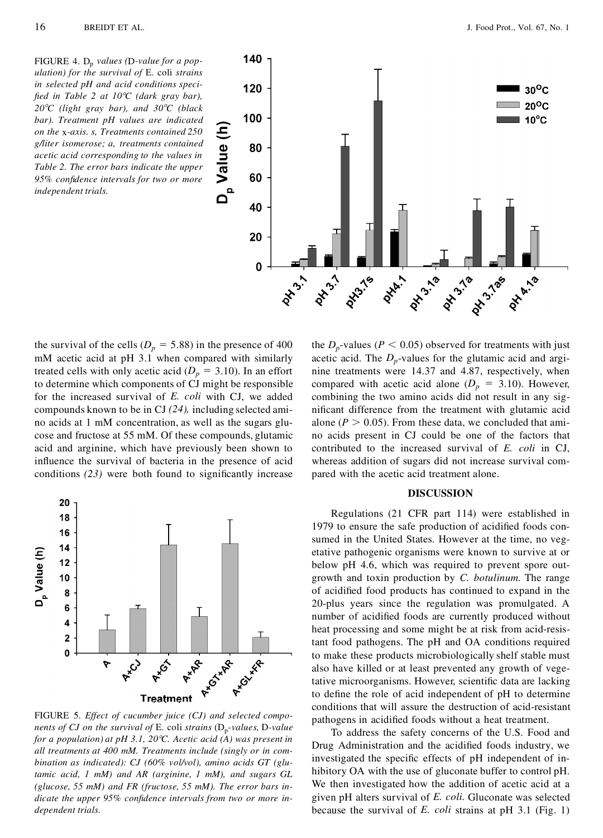FIGURE 4. D<sup>p</sup> *values (*D*-value for a population) for the survival of* E. coli *strains in selected pH and acid conditions speci ed in Table 2 at 108C (dark gray bar), 208C (light gray bar), and 308C (black bar). Treatment pH values are indicated*<br> *on the x-axis. s, Treatments contained 250*<br> *g/liter isomerose; a, treatments contained*<br> *acetic acid corresponding to the values in*<br> *Table 2. The error bars indicate the u on the* x*-axis. s, Treatments contained 250 g/liter isomerose; a, treatments contained acetic acid corresponding to the values in Table 2. The error bars indicate the upper 95% condence intervals for two or more independent trials.*



the survival of the cells ( $D_p = 5.88$ ) in the presence of 400 mM acetic acid at pH 3.1 when compared with similarly treated cells with only acetic acid ( $D_p = 3.10$ ). In an effort to determine which components of CJ might be responsible for the increased survival of *E. coli* with CJ, we added compounds known to be in CJ *(24),* including selected amino acids at 1 mM concentration, as well as the sugars glucose and fructose at 55 mM. Of these compounds, glutamic acid and arginine, which have previously been shown to influence the survival of bacteria in the presence of acid conditions  $(23)$  were both found to significantly increase



FIGURE 5. *Effect of cucumber juice (CJ) and selected components of CJ on the survival of* E. coli *strains* (D<sup>p</sup> *-values,* D*-value for a population) at pH 3.1, 208C. Acetic acid (A) was present in all treatments at 400 mM. Treatments include (singly or in com bination as indicated): CJ (60% vol/vol), amino acids GT (glutamic acid, 1 mM) and AR (arginine, 1 mM), and sugars GL (glucose, 55 mM) and FR (fructose, 55 mM). The error bars indicate the upper 95% confidence intervals from two or more independent trials.*

the  $D_p$ -values ( $P \le 0.05$ ) observed for treatments with just acetic acid. The  $D_p$ -values for the glutamic acid and arginine treatments were 14.37 and 4.87, respectively, when compared with acetic acid alone  $(D_p = 3.10)$ . However, combining the two amino acids did not result in any significant difference from the treatment with glutamic acid alone ( $P > 0.05$ ). From these data, we concluded that amino acids present in CJ could be one of the factors that contributed to the increased survival of *E. coli* in CJ, whereas addition of sugars did not increase survival compared with the acetic acid treatment alone.

# **DISCUSSION**

Regulations (21 CFR part 114) were established in 1979 to ensure the safe production of acidified foods consumed in the United States. However at the time, no vegetative pathogenic organisms were known to survive at or below pH 4.6, which was required to prevent spore outgrowth and toxin production by *C. botulinum.* The range of acidified food products has continued to expand in the 20-plus years since the regulation was promulgated. A number of acidified foods are currently produced without heat processing and some might be at risk from acid-resistant food pathogens. The pH and OA conditions required to make these products microbiologically shelf stable must also have killed or at least prevented any growth of vegetative microorganisms. However, scientific data are lacking to define the role of acid independent of pH to determine conditions that will assure the destruction of acid-resistant pathogens in acidified foods without a heat treatment.

To address the safety concerns of the U.S. Food and Drug Administration and the acidified foods industry, we investigated the specific effects of pH independent of inhibitory OA with the use of gluconate buffer to control pH. We then investigated how the addition of acetic acid at a given pH alters survival of *E. coli.* Gluconate was selected because the survival of *E. coli* strains at pH 3.1 (Fig. 1)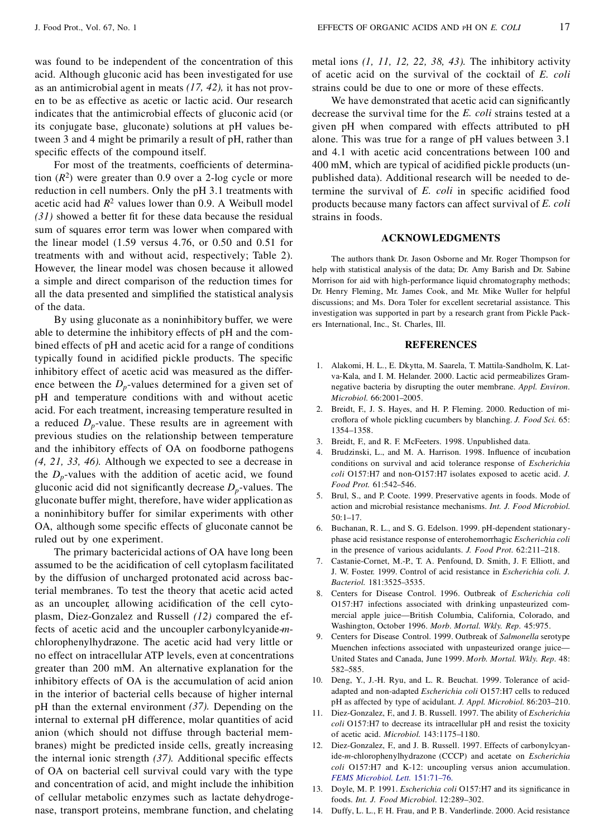was found to be independent of the concentration of this acid. Although gluconic acid has been investigated for use as an antimicrobial agent in meats *(17, 42),* it has not proven to be as effective as acetic or lactic acid. Our research indicates that the antimicrobial effects of gluconic acid (or its conjugate base, gluconate) solutions at pH values between 3 and 4 might be primarily a result of pH, rather than specific effects of the compound itself.

For most of the treatments, coefficients of determination  $(R^2)$  were greater than 0.9 over a 2-log cycle or more reduction in cell numbers. Only the pH 3.1 treatments with acetic acid had  $R^2$  values lower than 0.9. A Weibull model  $(31)$  showed a better fit for these data because the residual sum of squares error term was lower when compared with the linear model (1.59 versus 4.76, or 0.50 and 0.51 for treatments with and without acid, respectively; Table 2). However, the linear model was chosen because it allowed a simple and direct comparison of the reduction times for all the data presented and simplified the statistical analysis of the data.

By using gluconate as a noninhibitory buffer, we were able to determine the inhibitory effects of pH and the combined effects of pH and acetic acid for a range of conditions typically found in acidified pickle products. The specific inhibitory effect of acetic acid was measured as the difference between the  $D_p$ -values determined for a given set of pH and temperature conditions with and without acetic acid. For each treatment, increasing temperature resulted in a reduced  $D_p$ -value. These results are in agreement with previous studies on the relationship between temperature and the inhibitory effects of OA on foodborne pathogens *(4, 21, 33, 46).* Although we expected to see a decrease in the  $D_p$ -values with the addition of acetic acid, we found gluconic acid did not significantly decrease  $D_p$ -values. The gluconate buffer might, therefore, have wider application as a noninhibitory buffer for similar experiments with other OA, although some specific effects of gluconate cannot be ruled out by one experiment.

The primary bactericidal actions of OA have long been assumed to be the acidification of cell cytoplasm facilitated by the diffusion of uncharged protonated acid across bacterial membranes. To test the theory that acetic acid acted as an uncoupler, allowing acidification of the cell cytoplasm, Diez-Gonzalez and Russell *(12)* compared the effects of acetic acid and the uncoupler carbonylcyanide-*m* chlorophenylhydrazone. The acetic acid had very little or no effect on intracellular ATP levels, even at concentrations greater than 200 mM. An alternative explanation for the inhibitory effects of OA is the accumulation of acid anion in the interior of bacterial cells because of higher internal pH than the external environment *(37).* Depending on the internal to external pH difference, molar quantities of acid anion (which should not diffuse through bacterial membranes) might be predicted inside cells, greatly increasing the internal ionic strength  $(37)$ . Additional specific effects of OA on bacterial cell survival could vary with the type and concentration of acid, and might include the inhibition of cellular metabolic enzymes such as lactate dehydrogenase, transport proteins, membrane function, and chelating

We have demonstrated that acetic acid can significantly decrease the survival time for the *E. coli* strains tested at a given pH when compared with effects attributed to pH alone. This was true for a range of pH values between 3.1 and 4.1 with acetic acid concentrations between 100 and 400 mM, which are typical of acidified pickle products (unpublished data). Additional research will be needed to determine the survival of *E. coli* in specific acidified food products because many factors can affect survival of *E. coli* strains in foods.

# **ACKNOWLEDGMENTS**

The authors thank Dr. Jason Osborne and Mr. Roger Thompson for help with statistical analysis of the data; Dr. Amy Barish and Dr. Sabine Morrison for aid with high-performance liquid chromatography methods; Dr. Henry Fleming, Mr. James Cook, and Mr. Mike Wuller for helpful discussions; and Ms. Dora Toler for excellent secretarial assistance. This investigation was supported in part by a research grant from Pickle Pack ers International, Inc., St. Charles, Ill.

# **REFERENCES**

- 1. Alakomi, H. L., E. Dkytta, M. Saarela, T. Mattila-Sandholm, K. Latva-Kala, and I. M. Helander. 2000. Lactic acid permeabilizes Gramnegative bacteria by disrupting the outer membrane. *Appl. Environ. Microbiol.* 66:2001–2005.
- 2. Breidt, F., J. S. Hayes, and H. P. Fleming. 2000. Reduction of microflora of whole pickling cucumbers by blanching. *J. Food Sci.* 65: 1354–1358.
- 3. Breidt, F., and R. F. McFeeters. 1998. Unpublished data.
- 4. Brudzinski, L., and M. A. Harrison. 1998. Influence of incubation conditions on survival and acid tolerance response of *Escherichia coli* O157:H7 and non-O157:H7 isolates exposed to acetic acid. *J. Food Prot.* 61:542–546.
- 5. Brul, S., and P. Coote. 1999. Preservative agents in foods. Mode of action and microbial resistance mechanisms. *Int. J. Food Microbiol.* 50:1–17.
- 6. Buchanan, R. L., and S. G. Edelson. 1999. pH-dependent stationaryphase acid resistance response of enterohemorrhagic *Escherichia coli* in the presence of various acidulants. *J. Food Prot.* 62:211–218.
- 7. Castanie-Cornet, M.-P., T. A. Penfound, D. Smith, J. F. Elliott, and J. W. Foster. 1999. Control of acid resistance in *Escherichia coli. J. Bacteriol.* 181:3525–3535.
- 8. Centers for Disease Control. 1996. Outbreak of *Escherichia coli* O157:H7 infections associated with drinking unpasteurized com mercial apple juice—British Columbia, California, Colorado, and Washington, October 1996. *Morb. Mortal. Wkly. Rep.* 45:975.
- 9. Centers for Disease Control. 1999. Outbreak of *Salmonella* serotype Muenchen infections associated with unpasteurized orange juice— United States and Canada, June 1999. *Morb. Mortal. Wkly. Rep.* 48: 582–585.
- 10. Deng, Y., J.-H. Ryu, and L. R. Beuchat. 1999. Tolerance of acidadapted and non-adapted *Escherichia coli* O157:H7 cells to reduced pH as affected by type of acidulant. *J. Appl. Microbiol.* 86:203–210.
- 11. Diez-Gonzalez, F., and J.B. Russell. 1997. The ability of *Escherichia coli* O157:H7 to decrease its intracellular pH and resist the toxicity of acetic acid. *Microbiol.* 143:1175–1180.
- 12. Diez-Gonzalez, F., and J. B. Russell. 1997. Effects of carbonylcyanide-*m*-chlorophenylhydrazone (CCCP) and acetate on *Escherichia coli* O157:H7 and K-12: uncoupling versus anion accumulation. *FEMS Microbiol. Lett.* [151:71–76.](http://fidelio.ingentaselect.com/nw=1/rpsv/cgi-bin/linker?ext=a&reqidx=/0378-1097^28^29151L.71[aid=5451423])
- 13. Doyle, M. P. 1991. *Escherichia coli* O157:H7 and its significance in foods. *Int. J. Food Microbiol.* 12:289–302.
- 14. Duffy, L. L., F. H. Frau, and P. B. Vanderlinde. 2000. Acid resistance